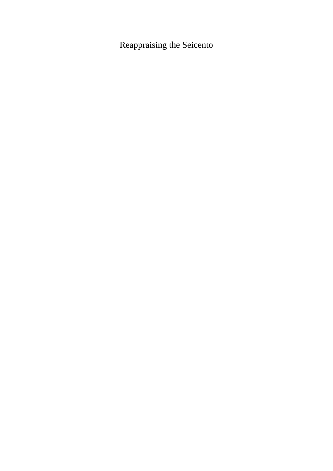Reappraising the Seicento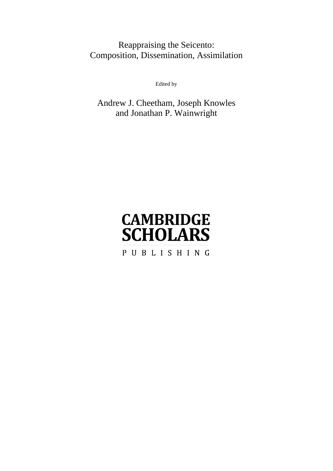# Reappraising the Seicento: Composition, Dissemination, Assimilation

Edited by

Andrew J. Cheetham, Joseph Knowles and Jonathan P. Wainwright

# **CAMBRIDGE SCHOLARS** PUBLISHING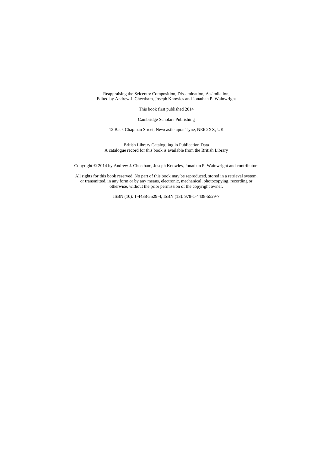Reappraising the Seicento: Composition, Dissemination, Assimilation, Edited by Andrew J. Cheetham, Joseph Knowles and Jonathan P. Wainwright

This book first published 2014

Cambridge Scholars Publishing

12 Back Chapman Street, Newcastle upon Tyne, NE6 2XX, UK

British Library Cataloguing in Publication Data A catalogue record for this book is available from the British Library

Copyright © 2014 by Andrew J. Cheetham, Joseph Knowles, Jonathan P. Wainwright and contributors

All rights for this book reserved. No part of this book may be reproduced, stored in a retrieval system, or transmitted, in any form or by any means, electronic, mechanical, photocopying, recording or otherwise, without the prior permission of the copyright owner.

ISBN (10): 1-4438-5529-4, ISBN (13): 978-1-4438-5529-7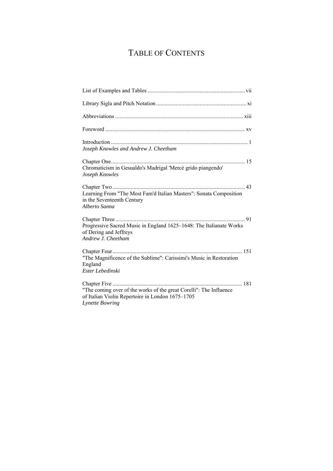# TABLE OF CONTENTS

| Joseph Knowles and Andrew J. Cheetham                                                                                                            |
|--------------------------------------------------------------------------------------------------------------------------------------------------|
| Chromaticism in Gesualdo's Madrigal 'Mercè grido piangendo'<br>Joseph Knowles                                                                    |
| Learning From "The Most Fam'd Italian Masters": Sonata Composition<br>in the Seventeenth Century<br>Alberto Sanna                                |
| Progressive Sacred Music in England 1625–1648: The Italianate Works<br>of Dering and Jeffreys<br>Andrew J. Cheetham                              |
| "The Magnificence of the Sublime": Carissimi's Music in Restoration<br>England<br>Ester Lebedinski                                               |
| "The coming over of the works of the great Corelli": The Influence<br>of Italian Violin Repertoire in London 1675-1705<br><b>Lynette Bowring</b> |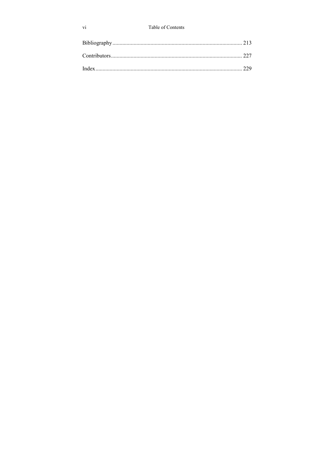### Table of Contents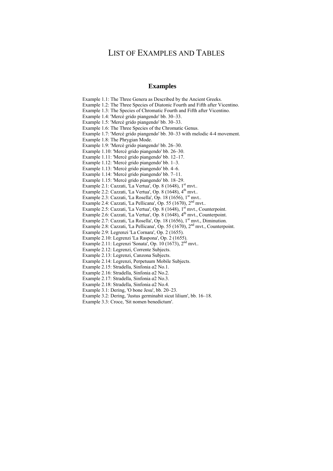# LIST OF EXAMPLES AND TABLES

### **Examples**

Example 1.1: The Three Genera as Described by the Ancient Greeks.

Example 1.2: The Three Species of Diatonic Fourth and Fifth after Vicentino.

Example 1.3: The Species of Chromatic Fourth and Fifth after Vicentino.

Example 1.4: 'Mercè grido piangendo' bb. 30–33.

Example 1.5: 'Mercè grido piangendo' bb. 30–33.

Example 1.6: The Three Species of the Chromatic Genus.

Example 1.7: 'Mercè grido piangendo' bb. 30–33 with melodic 4-4 movement.

Example 1.8: The Phrygian Mode.

Example 1.9: 'Mercè grido piangendo' bb. 26–30.

Example 1.10: 'Mercè grido piangendo' bb. 26–30.

Example 1.11: 'Mercè grido piangendo' bb. 12–17.

Example 1.12: 'Mercè grido piangendo' bb. 1–3.

Example 1.13: 'Mercè grido piangendo' bb. 4–6.

Example 1.14: 'Mercè grido piangendo' bb. 7–11.

Example 1.15: 'Mercè grido piangendo' bb. 18–29.

Example 2.1: Cazzati, 'La Vertua', Op. 8  $(1648)$ ,  $1<sup>st</sup>$  myt...

Example 2.2: Cazzati, 'La Vertua', Op. 8  $(1648)$ ,  $4<sup>th</sup>$  mvt..

Example 2.3: Cazzati, 'La Rosella', Op. 18 (1656),  $1<sup>st</sup>$  mvt..

Example 2.4: Cazzati, 'La Pellicana', Op. 55 (1670),  $2<sup>nd</sup>$  mvt..

Example 2.5: Cazzati, 'La Vertua', Op.  $\hat{8}$  (1648), 1st mvt., Counterpoint.

Example 2.6: Cazzati, 'La Vertua', Op. 8 (1648), 4<sup>th</sup> mvt., Counterpoint.

Example 2.7: Cazzati, 'La Rosella', Op. 18 (1656),  $1<sup>st</sup>$  mvt., Diminution.

Example 2.8: Cazzati, 'La Pellicana', Op. 55 (1670), 2nd mvt., Counterpoint.

Example 2.9: Legrenzi 'La Cornara', Op. 2 (1655).

Example 2.10: Legrenzi 'La Raspona', Op. 2 (1655).

Example 2.11: Legrenzi 'Sonata', Op. 10 (1673), 2<sup>nd</sup> mvt..

Example 2.12: Legrenzi, Corrente Subjects.

Example 2.13: Legrenzi, Canzona Subjects.

Example 2.14: Legrenzi, Perpetuum Mobile Subjects.

Example 2.15: Stradella, Sinfonia *a*2 No.1.

Example 2.16: Stradella, Sinfonia *a*2 No.2.

Example 2.17: Stradella, Sinfonia *a*2 No.3.

Example 2.18: Stradella, Sinfonia *a*2 No.4.

Example 3.1: Dering, 'O bone Jesu', bb. 20–23.

Example 3.2: Dering, 'Justus germinabit sicut lilium', bb. 16–18.

Example 3.3: Croce, 'Sit nomen benedictum'.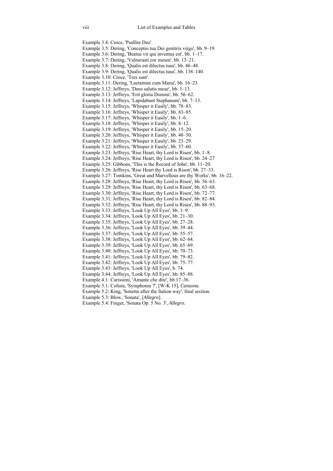Example 3.4: Croce, 'Psallite Deo'. Example 3.5: Dering, 'Conceptio tua Dei genitrix virgo', bb. 9–19. Example 3.6: Dering, 'Beatus vir qui inventus est', bb. 1–17. Example 3.7: Dering, 'Vulnerasti cor meum', bb. 13–21. Example 3.8: Dering, 'Qualis est dilectus tuus', bb. 46–48. Example 3.9: Dering, 'Qualis est dilectus tuus', bb. 138–140. Example 3.10: Croce, 'Tres sunt'. Example 3.11: Dering, 'Laetamini cum Maria', bb. 16–23. Example 3.12: Jeffreys, 'Deus salutis meae', bb. 1–13. Example 3.13: Jeffreys, 'Erit gloria Domini', bb. 56–62. Example 3.14: Jeffreys, 'Lapidabant Stephanum', bb. 7–13. Example 3.15: Jeffreys, 'Whisper it Easily', bb. 78–83. Example 3.16: Jeffreys, 'Whisper it Easily', bb. 83–85. Example 3.17: Jeffreys, 'Whisper it Easily', bb. 1–6. Example 3.18: Jeffreys, 'Whisper it Easily', bb. 8–12. Example 3.19: Jeffreys, 'Whisper it Easily', bb. 15–20. Example 3.20: Jeffreys, 'Whisper it Easily', bb. 48–50. Example 3.21: Jeffreys, 'Whisper it Easily', bb. 23–29. Example 3.22: Jeffreys, 'Whisper it Easily', bb. 57–60. Example 3.23: Jeffreys, 'Rise Heart, thy Lord is Risen', bb. 1–8. Example 3.24: Jeffreys, 'Rise Heart, thy Lord is Risen', bb. 24–27 Example 3.25: Gibbons, 'This is the Record of John', bb. 11–20. Example 3.26: Jeffreys, 'Rise Heart thy Lord is Risen', bb. 27–33. Example 3.27: Tomkins, 'Great and Marvellous are thy Works', bb. 16–22. Example 3.28: Jeffreys, 'Rise Heart, thy Lord is Risen', bb. 56–63. Example 3.29: Jeffreys, 'Rise Heart, thy Lord is Risen', bb. 63–68. Example 3.30: Jeffreys, 'Rise Heart, thy Lord is Risen', bb. 72–77. Example 3.31: Jeffreys, 'Rise Heart, thy Lord is Risen', bb. 82–84. Example 3.32: Jeffreys, 'Rise Heart, thy Lord is Risen', bb. 88–93. Example 3.33: Jeffreys, 'Look Up All Eyes', bb. 1–9. Example 3.34: Jeffreys, 'Look Up All Eyes', bb. 21–30. Example 3.35: Jeffreys, 'Look Up All Eyes', bb. 27–28. Example 3.36: Jeffreys, 'Look Up All Eyes', bb. 39–44. Example 3.37: Jeffreys, 'Look Up All Eyes', bb. 55–57. Example 3.38: Jeffreys, 'Look Up All Eyes', bb. 62–64. Example 3.39: Jeffreys, 'Look Up All Eyes', bb. 65–69. Example 3.40: Jeffreys, 'Look Up All Eyes', bb. 70–73. Example 3.41: Jeffreys, 'Look Up All Eyes', bb. 79–82. Example 3.42: Jeffreys, 'Look Up All Eyes', bb. 75–77. Example 3.43: Jeffreys, 'Look Up All Eyes', b. 74. Example 3.44: Jeffreys, 'Look Up All Eyes', bb. 85–88. Example 4.1: Carissimi, 'Amante che dite', bb.17–36. Example 5.1: Colista, 'Symphonia 7', [W-K 15], *Canzona*. Example 5.2: King, 'Sonetta after the Italion way', final section. Example 5.3: Blow, 'Sonata', [*Allegro*]. Example 5.4: Finger, 'Sonata Op. 5 No. 3', *Allegro.*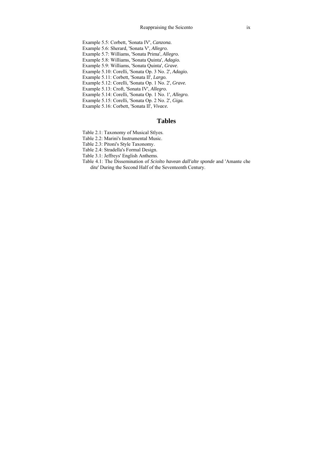- Example 5.5: Corbett, 'Sonata IV', *Canzona.*
- Example 5.6: Sherard, 'Sonata V', *Allegro.*
- Example 5.7: Williams, 'Sonata Prima', *Allegro.*
- Example 5.8: Williams, 'Sonata Quinta', *Adagio.*
- Example 5.9: Williams, 'Sonata Quinta', *Grave*.
- Example 5.10: Corelli, 'Sonata Op. 3 No. 2', *Adagio.*
- Example 5.11: Corbett, 'Sonata II', *Largo.*
- Example 5.12: Corelli, 'Sonata Op. 1 No. 2', *Grave.*
- Example 5.13: Croft, 'Sonata IV', *Allegro.*
- Example 5.14: Corelli, 'Sonata Op. 1 No. 1', *Allegro.*
- Example 5.15: Corelli, 'Sonata Op. 2 No. 2', *Giga.*
- Example 5.16: Corbett, 'Sonata II', *Vivace.*

### **Tables**

- Table 2.1: Taxonomy of Musical Stlyes.
- Table 2.2: Marini's Instrumental Music.
- Table 2.3: Pitoni's Style Taxonomy.
- Table 2.4: Stradella's Formal Design.
- Table 3.1: Jeffreys' English Anthems.
- Table 4.1: The Dissemination of *Sciolto havean dall'alte sponde* and 'Amante che dite' During the Second Half of the Seventeenth Century.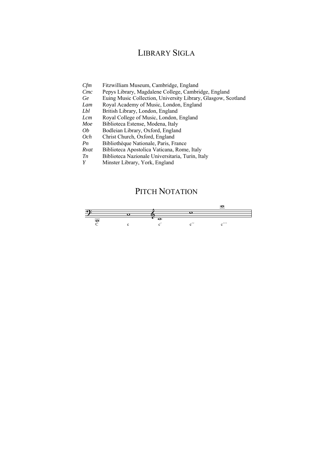# LIBRARY SIGLA

| Cfm<br>Fitzwilliam Museum, Cambridge, England |  |
|-----------------------------------------------|--|
|-----------------------------------------------|--|

- *Cmc* Pepys Library, Magdalene College, Cambridge, England
- *Ge* Euing Music Collection, University Library, Glasgow, Scotland
- *Lam* Royal Academy of Music, London, England<br>*Ibl* British Library London, England
- **British Library, London, England**
- *Lcm* Royal College of Music, London, England
- *Moe* Biblioteca Estense, Modena, Italy
- *Ob* Bodleian Library, Oxford, England
- *Och* Christ Church, Oxford, England
- *Pn* Bibliothèque Nationale, Paris, France
- *Rvat* Biblioteca Apostolica Vaticana, Rome, Italy
- *Tn* Biblioteca Nazionale Universitaria, Turin, Italy *Y* Minster Library York England
- *Y* Minster Library, York, England

## PITCH NOTATION

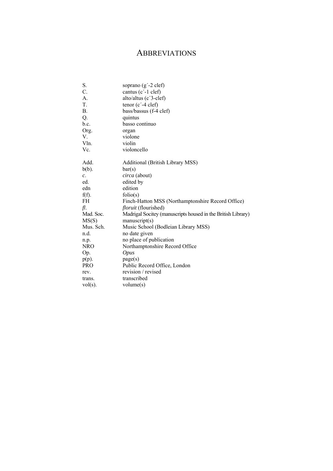# ABBREVIATIONS

| S.          | soprano $(g'$ -2 clef)                                       |
|-------------|--------------------------------------------------------------|
| C.          | cantus (c'-1 clef)                                           |
| A.          | alto/altus (c'3-clef)                                        |
| T.          | tenor $(c' - 4 clef)$                                        |
| <b>B.</b>   | bass/bassus (f-4 clef)                                       |
| Q.          | quintus                                                      |
| b.c.        | basso continuo                                               |
| Org.        | organ                                                        |
| V.          | violone                                                      |
| Vln.        | violin                                                       |
| $V_{\rm C}$ | violoncello                                                  |
| Add.        | Additional (British Library MSS)                             |
| $b(b)$ .    | bar(s)                                                       |
| $c$ .       | <i>circa</i> (about)                                         |
| ed.         | edited by                                                    |
| edn         | edition                                                      |
| $f(f)$ .    | folio(s)                                                     |
| FH.         | Finch-Hatton MSS (Northamptonshire Record Office)            |
| fl.         | <i>floruit</i> (flourished)                                  |
| Mad. Soc.   | Madrigal Socitey (manuscripts housed in the British Library) |
| MS(S)       | manuscript(s)                                                |
| Mus. Sch.   | Music School (Bodleian Library MSS)                          |
| n.d.        | no date given                                                |
| n.p.        | no place of publication                                      |
| <b>NRO</b>  | Northamptonshire Record Office                               |
| Op.         | <i>Opus</i>                                                  |
| $p(p)$ .    | page(s)                                                      |
| <b>PRO</b>  | Public Record Office, London                                 |
| rev.        | revision / revised                                           |
| trans.      | transcribed                                                  |
| $vol(s)$ .  | volume(s)                                                    |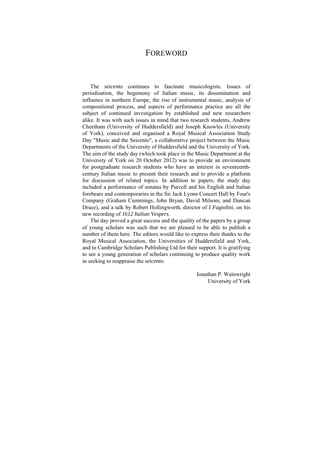# FOREWORD

The *seicento* continues to fascinate musicologists. Issues of periodisation, the hegemony of Italian music, its dissemination and influence in northern Europe, the rise of instrumental music, analysis of compositional process, and aspects of performance practice are all the subject of continued investigation by established and new researchers alike. It was with such issues in mind that two research students, Andrew Cheetham (University of Huddersfield) and Joseph Knowles (University of York), conceived and organised a Royal Musical Association Study Day "Music and the Seicento", a collaborative project between the Music Departments of the University of Huddersfield and the University of York. The aim of the study day (which took place in the Music Department at the University of York on 20 October 2012) was to provide an environment for postgraduate research students who have an interest in seventeenthcentury Italian music to present their research and to provide a platform for discussion of related topics. In addition to papers, the study day included a performance of sonatas by Purcell and his English and Italian forebears and contemporaries in the Sir Jack Lyons Concert Hall by Four's Company (Graham Cummings, John Bryan, David Milsom, and Duncan Druce), and a talk by Robert Hollingworth, director of *I Fagiolini*, on his new recording of *1612 Italian Vespers*.

The day proved a great success and the quality of the papers by a group of young scholars was such that we are pleased to be able to publish a number of them here. The editors would like to express their thanks to the Royal Musical Association, the Universities of Huddersfield and York, and to Cambridge Scholars Publishing Ltd for their support. It is gratifying to see a young generation of scholars continuing to produce quality work in seeking to reappraise the *seicento*.

> Jonathan P. Wainwright University of York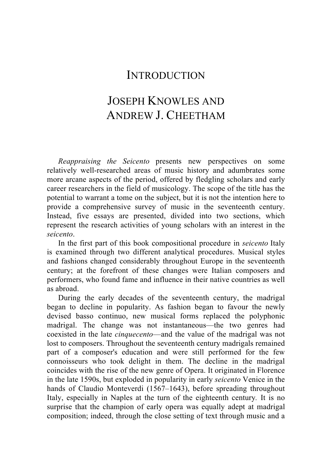## **INTRODUCTION**

# JOSEPH KNOWLES AND ANDREW J. CHEETHAM

*Reappraising the Seicento* presents new perspectives on some relatively well-researched areas of music history and adumbrates some more arcane aspects of the period, offered by fledgling scholars and early career researchers in the field of musicology. The scope of the title has the potential to warrant a tome on the subject, but it is not the intention here to provide a comprehensive survey of music in the seventeenth century. Instead, five essays are presented, divided into two sections, which represent the research activities of young scholars with an interest in the *seicento*.

In the first part of this book compositional procedure in *seicento* Italy is examined through two different analytical procedures. Musical styles and fashions changed considerably throughout Europe in the seventeenth century; at the forefront of these changes were Italian composers and performers, who found fame and influence in their native countries as well as abroad.

During the early decades of the seventeenth century, the madrigal began to decline in popularity. As fashion began to favour the newly devised basso continuo, new musical forms replaced the polyphonic madrigal. The change was not instantaneous—the two genres had coexisted in the late *cinquecento*—and the value of the madrigal was not lost to composers. Throughout the seventeenth century madrigals remained part of a composer's education and were still performed for the few connoisseurs who took delight in them. The decline in the madrigal coincides with the rise of the new genre of Opera. It originated in Florence in the late 1590s, but exploded in popularity in early *seicento* Venice in the hands of Claudio Monteverdi (1567–1643), before spreading throughout Italy, especially in Naples at the turn of the eighteenth century*.* It is no surprise that the champion of early opera was equally adept at madrigal composition; indeed, through the close setting of text through music and a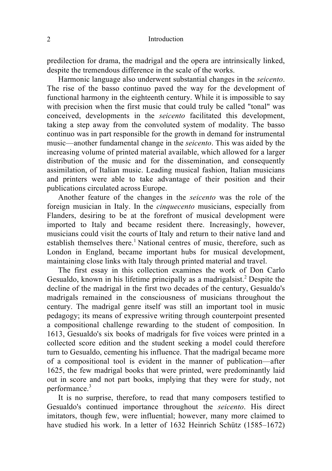#### 2 Introduction

predilection for drama, the madrigal and the opera are intrinsically linked, despite the tremendous difference in the scale of the works.

Harmonic language also underwent substantial changes in the *seicento*. The rise of the basso continuo paved the way for the development of functional harmony in the eighteenth century. While it is impossible to say with precision when the first music that could truly be called "tonal" was conceived, developments in the *seicento* facilitated this development, taking a step away from the convoluted system of modality. The basso continuo was in part responsible for the growth in demand for instrumental music—another fundamental change in the *seicento*. This was aided by the increasing volume of printed material available, which allowed for a larger distribution of the music and for the dissemination, and consequently assimilation, of Italian music. Leading musical fashion, Italian musicians and printers were able to take advantage of their position and their publications circulated across Europe.

Another feature of the changes in the *seicento* was the role of the foreign musician in Italy. In the *cinquecento* musicians, especially from Flanders, desiring to be at the forefront of musical development were imported to Italy and became resident there. Increasingly, however, musicians could visit the courts of Italy and return to their native land and establish themselves there.<sup>1</sup> National centres of music, therefore, such as London in England, became important hubs for musical development, maintaining close links with Italy through printed material and travel.

The first essay in this collection examines the work of Don Carlo Gesualdo, known in his lifetime principally as a madrigalsist.<sup>2</sup> Despite the decline of the madrigal in the first two decades of the century, Gesualdo's madrigals remained in the consciousness of musicians throughout the century. The madrigal genre itself was still an important tool in music pedagogy; its means of expressive writing through counterpoint presented a compositional challenge rewarding to the student of composition. In 1613, Gesualdo's six books of madrigals for five voices were printed in a collected score edition and the student seeking a model could therefore turn to Gesualdo, cementing his influence. That the madrigal became more of a compositional tool is evident in the manner of publication—after 1625, the few madrigal books that were printed, were predominantly laid out in score and not part books, implying that they were for study, not performance.<sup>3</sup>

It is no surprise, therefore, to read that many composers testified to Gesualdo's continued importance throughout the *seicento*. His direct imitators, though few, were influential; however, many more claimed to have studied his work. In a letter of 1632 Heinrich Schütz (1585–1672)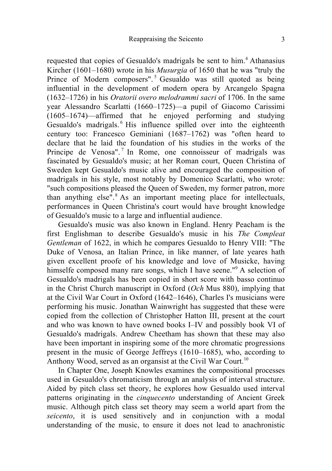requested that copies of Gesualdo's madrigals be sent to him.<sup>4</sup> Athanasius Kircher (1601–1680) wrote in his *Musurgia* of 1650 that he was "truly the Prince of Modern composers".<sup>5</sup> Gesualdo was still quoted as being influential in the development of modern opera by Arcangelo Spagna (1632–1726) in his *Oratorii overo melodrammi sacri* of 1706. In the same year Alessandro Scarlatti (1660–1725)—a pupil of Giacomo Carissimi (1605–1674)—affirmed that he enjoyed performing and studying Gesualdo's madrigals.<sup>6</sup> His influence spilled over into the eighteenth century too: Francesco Geminiani (1687–1762) was "often heard to declare that he laid the foundation of his studies in the works of the Principe de Venosa".<sup>7</sup> In Rome, one connoisseur of madrigals was fascinated by Gesualdo's music; at her Roman court, Queen Christina of Sweden kept Gesualdo's music alive and encouraged the composition of madrigals in his style, most notably by Domenico Scarlatti, who wrote: "such compositions pleased the Queen of Sweden, my former patron, more than anything else".<sup>8</sup> As an important meeting place for intellectuals, performances in Queen Christina's court would have brought knowledge of Gesualdo's music to a large and influential audience.

Gesualdo's music was also known in England. Henry Peacham is the first Englishman to describe Gesualdo's music in his *The Compleat Gentleman* of 1622, in which he compares Gesualdo to Henry VIII: "The Duke of Venosa, an Italian Prince, in like manner, of late yeares hath given excellent proofe of his knowledge and love of Musicke, having himselfe composed many rare songs, which I have seene."<sup>9</sup> A selection of Gesualdo's madrigals has been copied in short score with basso continuo in the Christ Church manuscript in Oxford (*Och* Mus 880), implying that at the Civil War Court in Oxford (1642–1646), Charles I's musicians were performing his music. Jonathan Wainwright has suggested that these were copied from the collection of Christopher Hatton III, present at the court and who was known to have owned books I–IV and possibly book VI of Gesualdo's madrigals. Andrew Cheetham has shown that these may also have been important in inspiring some of the more chromatic progressions present in the music of George Jeffreys (1610–1685), who, according to Anthony Wood, served as an organsist at the Civil War Court.<sup>10</sup>

In Chapter One, Joseph Knowles examines the compositional processes used in Gesualdo's chromaticism through an analysis of interval structure. Aided by pitch class set theory, he explores how Gesualdo used interval patterns originating in the *cinquecento* understanding of Ancient Greek music. Although pitch class set theory may seem a world apart from the *seicento*, it is used sensitively and in conjunction with a modal understanding of the music, to ensure it does not lead to anachronistic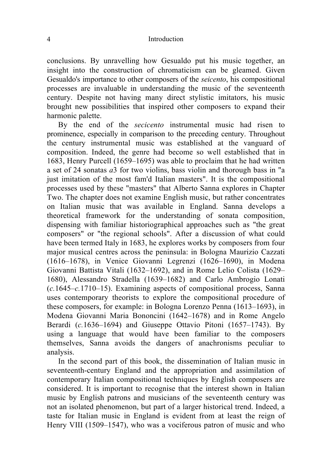conclusions. By unravelling how Gesualdo put his music together, an insight into the construction of chromaticism can be gleamed. Given Gesualdo's importance to other composers of the *seicento*, his compositional processes are invaluable in understanding the music of the seventeenth century. Despite not having many direct stylistic imitators, his music brought new possibilities that inspired other composers to expand their harmonic palette.

By the end of the *secicento* instrumental music had risen to prominence, especially in comparison to the preceding century. Throughout the century instrumental music was established at the vanguard of composition. Indeed, the genre had become so well established that in 1683, Henry Purcell (1659–1695) was able to proclaim that he had written a set of 24 sonatas *a*3 for two violins, bass violin and thorough bass in "a just imitation of the most fam'd Italian masters". It is the compositional processes used by these "masters" that Alberto Sanna explores in Chapter Two. The chapter does not examine English music, but rather concentrates on Italian music that was available in England. Sanna develops a theoretical framework for the understanding of sonata composition, dispensing with familiar historiographical approaches such as "the great composers" or "the regional schools". After a discussion of what could have been termed Italy in 1683, he explores works by composers from four major musical centres across the peninsula: in Bologna Maurizio Cazzati (1616–1678), in Venice Giovanni Legrenzi (1626–1690), in Modena Giovanni Battista Vitali (1632–1692), and in Rome Lelio Colista (1629– 1680), Alessandro Stradella (1639–1682) and Carlo Ambrogio Lonati (*c.*1645–*c.*1710–15). Examining aspects of compositional process, Sanna uses contemporary theorists to explore the compositional procedure of these composers, for example: in Bologna Lorenzo Penna (1613–1693), in Modena Giovanni Maria Bononcini (1642–1678) and in Rome Angelo Berardi (*c.*1636–1694) and Giuseppe Ottavio Pitoni (1657–1743). By using a language that would have been familiar to the composers themselves, Sanna avoids the dangers of anachronisms peculiar to analysis.

In the second part of this book, the dissemination of Italian music in seventeenth-century England and the appropriation and assimilation of contemporary Italian compositional techniques by English composers are considered. It is important to recognise that the interest shown in Italian music by English patrons and musicians of the seventeenth century was not an isolated phenomenon, but part of a larger historical trend. Indeed, a taste for Italian music in England is evident from at least the reign of Henry VIII (1509–1547), who was a vociferous patron of music and who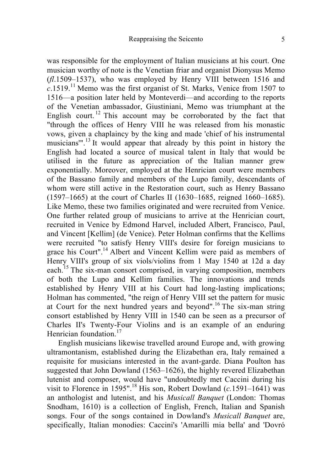was responsible for the employment of Italian musicians at his court. One musician worthy of note is the Venetian friar and organist Dionysus Memo (*fl*.1509–1537), who was employed by Henry VIII between 1516 and *c*.1519.<sup>11</sup> Memo was the first organist of St. Marks, Venice from 1507 to 1516—a position later held by Monteverdi—and according to the reports of the Venetian ambassador, Giustiniani, Memo was triumphant at the English court.<sup>12</sup> This account may be corroborated by the fact that "through the offices of Henry VIII he was released from his monastic vows, given a chaplaincy by the king and made 'chief of his instrumental musicians"<sup>13</sup> It would appear that already by this point in history the English had located a source of musical talent in Italy that would be utilised in the future as appreciation of the Italian manner grew exponentially. Moreover, employed at the Henrician court were members of the Bassano family and members of the Lupo family, descendants of whom were still active in the Restoration court, such as Henry Bassano (1597–1665) at the court of Charles II (1630–1685, reigned 1660–1685). Like Memo, these two families originated and were recruited from Venice. One further related group of musicians to arrive at the Henrician court, recruited in Venice by Edmond Harvel, included Albert, Francisco, Paul, and Vincent [Kellim] (de Venice). Peter Holman confirms that the Kellims were recruited "to satisfy Henry VIII's desire for foreign musicians to grace his Court".<sup>14</sup> Albert and Vincent Kellim were paid as members of Henry VIII's group of six viols/violins from 1 May 1540 at 12d a day each.<sup>15</sup> The six-man consort comprised, in varying composition, members of both the Lupo and Kellim families. The innovations and trends established by Henry VIII at his Court had long-lasting implications; Holman has commented, "the reign of Henry VIII set the pattern for music at Court for the next hundred years and beyond". <sup>16</sup> The six-man string consort established by Henry VIII in 1540 can be seen as a precursor of Charles II's Twenty-Four Violins and is an example of an enduring Henrician foundation.<sup>17</sup>

English musicians likewise travelled around Europe and, with growing ultramontanism, established during the Elizabethan era, Italy remained a requisite for musicians interested in the avant-garde. Diana Poulton has suggested that John Dowland (1563–1626), the highly revered Elizabethan lutenist and composer, would have "undoubtedly met Caccini during his visit to Florence in 1595".<sup>18</sup> His son, Robert Dowland  $(c.1591-1641)$  was an anthologist and lutenist, and his *Musicall Banquet* (London: Thomas Snodham, 1610) is a collection of English, French, Italian and Spanish songs. Four of the songs contained in Dowland's *Musicall Banquet* are, specifically, Italian monodies: Caccini's 'Amarilli mia bella' and 'Dovró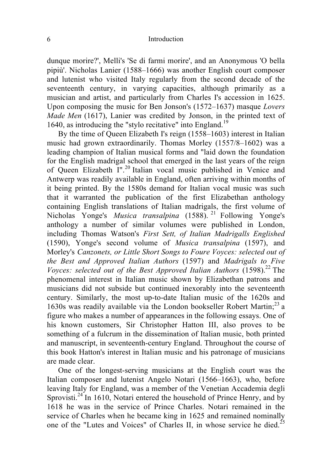#### 6 Introduction

dunque morire?', Melli's 'Se di farmi morire', and an Anonymous 'O bella pipiù'. Nicholas Lanier (1588–1666) was another English court composer and lutenist who visited Italy regularly from the second decade of the seventeenth century, in varying capacities, although primarily as a musician and artist, and particularly from Charles I's accession in 1625. Upon composing the music for Ben Jonson's (1572–1637) masque *Lovers Made Men* (1617), Lanier was credited by Jonson, in the printed text of 1640, as introducing the "stylo recitative" into England.<sup>19</sup>

By the time of Queen Elizabeth I's reign (1558–1603) interest in Italian music had grown extraordinarily. Thomas Morley (1557/8–1602) was a leading champion of Italian musical forms and "laid down the foundation for the English madrigal school that emerged in the last years of the reign of Queen Elizabeth I".<sup>20</sup> Italian vocal music published in Venice and Antwerp was readily available in England, often arriving within months of it being printed. By the 1580s demand for Italian vocal music was such that it warranted the publication of the first Elizabethan anthology containing English translations of Italian madrigals, the first volume of Nicholas Yonge's *Musica transalpina* (1588). <sup>21</sup> Following Yonge's anthology a number of similar volumes were published in London, including Thomas Watson's *First Sett, of Italian Madrigalls Englished* (1590), Yonge's second volume of *Musica transalpina* (1597), and Morley's *Canzonets, or Little Short Songs to Foure Voyces: selected out of the Best and Approved Italian Authors* (1597) and *Madrigals to Five Voyces: selected out of the Best Approved Italian Authors* (1598).<sup>22</sup> The phenomenal interest in Italian music shown by Elizabethan patrons and musicians did not subside but continued inexorably into the seventeenth century. Similarly, the most up-to-date Italian music of the 1620s and 1630s was readily available via the London bookseller Robert Martin;<sup>23</sup> a figure who makes a number of appearances in the following essays. One of his known customers, Sir Christopher Hatton III, also proves to be something of a fulcrum in the dissemination of Italian music, both printed and manuscript, in seventeenth-century England. Throughout the course of this book Hatton's interest in Italian music and his patronage of musicians are made clear.

One of the longest-serving musicians at the English court was the Italian composer and lutenist Angelo Notari (1566–1663), who, before leaving Italy for England, was a member of the Venetian Accademia degli Sprovisti.<sup>24</sup> In 1610, Notari entered the household of Prince Henry, and by 1618 he was in the service of Prince Charles. Notari remained in the service of Charles when he became king in 1625 and remained nominally one of the "Lutes and Voices" of Charles II, in whose service he died.<sup>25</sup>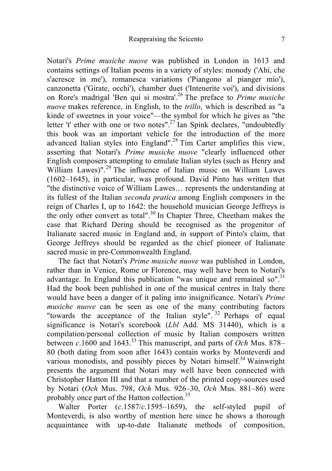Notari's *Prime musiche nuove* was published in London in 1613 and contains settings of Italian poems in a variety of styles: monody ('Ahi, che s'acresce in me'), romanesca variations ('Piangono al pianger mio'), canzonetta ('Girate, occhi'), chamber duet ('Intenerite voi'), and divisions on Rore's madrigal 'Ben quì si mostra'*.* <sup>26</sup> The preface to *Prime musiche nuove* makes reference, in English, to the *trillo*, which is described as "a kinde of sweetnes in your voice"—the symbol for which he gives as "the letter 't' ether with one or two notes".<sup>27</sup> Ian Spink declares, "undoubtedly this book was an important vehicle for the introduction of the more advanced Italian styles into England".<sup>28</sup> Tim Carter amplifies this view, asserting that Notari's *Prime musiche nuove* "clearly influenced other English composers attempting to emulate Italian styles (such as Henry and William Lawes)".<sup>29</sup> The influence of Italian music on William Lawes (1602–1645), in particular, was profound. David Pinto has written that "the distinctive voice of William Lawes… represents the understanding at its fullest of the Italian *seconda pratica* among English composers in the reign of Charles I, up to 1642: the household musician George Jeffreys is the only other convert as total".<sup>30</sup> In Chapter Three, Cheetham makes the case that Richard Dering should be recognised as the progenitor of Italianate sacred music in England and, in support of Pinto's claim, that George Jeffreys should be regarded as the chief pioneer of Italianate sacred music in pre-Commonwealth England.

The fact that Notari's *Prime musiche nuove* was published in London, rather than in Venice, Rome or Florence, may well have been to Notari's advantage. In England this publication "was unique and remained so".<sup>31</sup> Had the book been published in one of the musical centres in Italy there would have been a danger of it paling into insignificance. Notari's *Prime musiche nuove* can be seen as one of the many contributing factors "towards the acceptance of the Italian style".<sup>32</sup> Perhaps of equal significance is Notari's scorebook (*Lbl* Add. MS 31440), which is a compilation/personal collection of music by Italian composers written between *c*.1600 and 1643.<sup>33</sup> This manuscript, and parts of *Och* Mus. 878– 80 (both dating from soon after 1643) contain works by Monteverdi and various monodists, and possibly pieces by Notari himself.<sup>34</sup> Wainwright presents the argument that Notari may well have been connected with Christopher Hatton III and that a number of the printed copy-sources used by Notari (*Och* Mus. 798, *Och* Mus. 926–30, *Och* Mus. 881–86) were probably once part of the Hatton collection.<sup>35</sup>

Walter Porter (*c.*1587/*c.*1595–1659), the self-styled pupil of Monteverdi, is also worthy of mention here since he shows a thorough acquaintance with up-to-date Italianate methods of composition,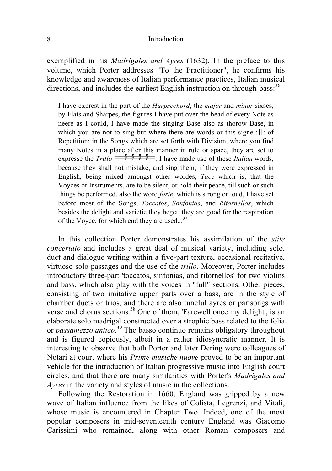### 8 Introduction

exemplified in his *Madrigales and Ayres* (1632). In the preface to this volume, which Porter addresses "To the Practitioner", he confirms his knowledge and awareness of Italian performance practices, Italian musical directions, and includes the earliest English instruction on through-bass:<sup>36</sup>

I have exprest in the part of the *Harpsechord*, the *major* and *minor* sixses, by Flats and Sharpes, the figures I have put over the head of every Note as neere as I could, I have made the singing Base also as thorow Base, in which you are not to sing but where there are words or this signe :׀׀: of Repetition; in the Songs which are set forth with Division, where you find many Notes in a place after this manner in rule or space, they are set to expresse the *Trillo*  $\begin{bmatrix} 1 & 1 \\ 0 & 1 \end{bmatrix}$  **I** have made use of these *Italian* words because they shall not mistake, and sing them, if they were expressed in English, being mixed amongst other wordes, *Tace* which is, that the Voyces or Instruments, are to be silent, or hold their peace, till such or such things be performed, also the word *forte*, which is strong or loud, I have set before most of the Songs, *Toccatos*, *Sonfonias*, and *Ritornellos*, which besides the delight and varietie they beget, they are good for the respiration of the Voyce, for which end they are used...<sup>37</sup>

In this collection Porter demonstrates his assimilation of the *stile concertato* and includes a great deal of musical variety, including solo, duet and dialogue writing within a five-part texture, occasional recitative, virtuoso solo passages and the use of the *trillo*. Moreover, Porter includes introductory three-part 'toccatos, sinfonias, and ritornellos' for two violins and bass, which also play with the voices in "full" sections. Other pieces, consisting of two imitative upper parts over a bass, are in the style of chamber duets or trios, and there are also tuneful ayres or partsongs with verse and chorus sections.<sup>38</sup> One of them, 'Farewell once my delight', is an elaborate solo madrigal constructed over a strophic bass related to the folia or *passamezzo antico*. <sup>39</sup> The basso continuo remains obligatory throughout and is figured copiously, albeit in a rather idiosyncratic manner. It is interesting to observe that both Porter and later Dering were colleagues of Notari at court where his *Prime musiche nuove* proved to be an important vehicle for the introduction of Italian progressive music into English court circles, and that there are many similarities with Porter's *Madrigales and Ayres* in the variety and styles of music in the collections.

Following the Restoration in 1660, England was gripped by a new wave of Italian influence from the likes of Colista, Legrenzi, and Vitali, whose music is encountered in Chapter Two. Indeed, one of the most popular composers in mid-seventeenth century England was Giacomo Carissimi who remained, along with other Roman composers and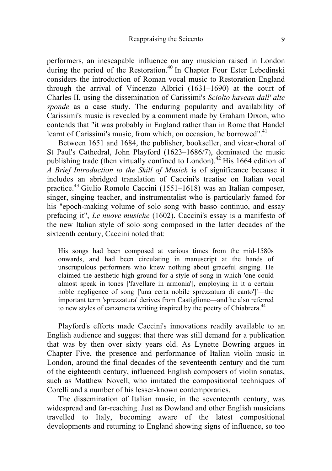performers, an inescapable influence on any musician raised in London during the period of the Restoration.<sup>40</sup> In Chapter Four Ester Lebedinski considers the introduction of Roman vocal music to Restoration England through the arrival of Vincenzo Albrici (1631–1690) at the court of Charles II, using the dissemination of Carissimi's *Sciolto havean dall' alte sponde* as a case study. The enduring popularity and availability of Carissimi's music is revealed by a comment made by Graham Dixon, who contends that "it was probably in England rather than in Rome that Handel learnt of Carissimi's music, from which, on occasion, he borrowed".<sup>41</sup>

Between 1651 and 1684, the publisher, bookseller, and vicar-choral of St Paul's Cathedral, John Playford (1623–1686/7), dominated the music publishing trade (then virtually confined to London).<sup>42</sup> His 1664 edition of *A Brief Introduction to the Skill of Musick* is of significance because it includes an abridged translation of Caccini's treatise on Italian vocal practice.43 Giulio Romolo Caccini (1551–1618) was an Italian composer, singer, singing teacher, and instrumentalist who is particularly famed for his "epoch-making volume of solo song with basso continuo, and essay prefacing it", *Le nuove musiche* (1602). Caccini's essay is a manifesto of the new Italian style of solo song composed in the latter decades of the sixteenth century, Caccini noted that:

His songs had been composed at various times from the mid-1580s onwards, and had been circulating in manuscript at the hands of unscrupulous performers who knew nothing about graceful singing. He claimed the aesthetic high ground for a style of song in which 'one could almost speak in tones ['favellare in armonia'], employing in it a certain noble negligence of song ['una certa nobile sprezzatura di canto']'—the important term 'sprezzatura' derives from Castiglione—and he also referred to new styles of canzonetta writing inspired by the poetry of Chiabrera.<sup>44</sup>

Playford's efforts made Caccini's innovations readily available to an English audience and suggest that there was still demand for a publication that was by then over sixty years old. As Lynette Bowring argues in Chapter Five, the presence and performance of Italian violin music in London, around the final decades of the seventeenth century and the turn of the eighteenth century, influenced English composers of violin sonatas, such as Matthew Novell, who imitated the compositional techniques of Corelli and a number of his lesser-known contemporaries.

The dissemination of Italian music, in the seventeenth century, was widespread and far-reaching. Just as Dowland and other English musicians travelled to Italy, becoming aware of the latest compositional developments and returning to England showing signs of influence, so too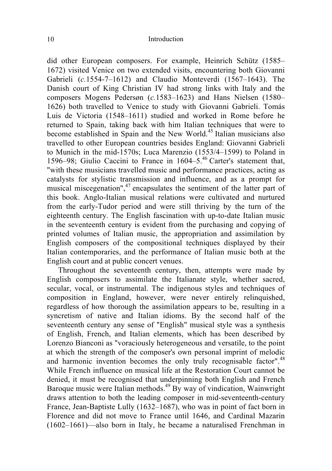did other European composers. For example, Heinrich Schütz (1585– 1672) visited Venice on two extended visits, encountering both Giovanni Gabrieli (*c.*1554-7–1612) and Claudio Monteverdi (1567–1643). The Danish court of King Christian IV had strong links with Italy and the composers Mogens Pedersøn (*c.*1583–1623) and Hans Nielsen (1580– 1626) both travelled to Venice to study with Giovanni Gabrieli. Tomás Luis de Victoria (1548–1611) studied and worked in Rome before he returned to Spain, taking back with him Italian techniques that were to become established in Spain and the New World.<sup>45</sup> Italian musicians also travelled to other European countries besides England: Giovanni Gabrieli to Munich in the mid-1570s; Luca Marenzio (1553/4–1599) to Poland in 1596–98; Giulio Caccini to France in 1604–5.<sup>46</sup> Carter's statement that, "with these musicians travelled music and performance practices, acting as catalysts for stylistic transmission and influence, and as a prompt for musical miscegenation",<sup>47</sup> encapsulates the sentiment of the latter part of this book. Anglo-Italian musical relations were cultivated and nurtured from the early-Tudor period and were still thriving by the turn of the eighteenth century. The English fascination with up-to-date Italian music in the seventeenth century is evident from the purchasing and copying of printed volumes of Italian music, the appropriation and assimilation by English composers of the compositional techniques displayed by their Italian contemporaries, and the performance of Italian music both at the English court and at public concert venues.

Throughout the seventeenth century, then, attempts were made by English composers to assimilate the Italianate style, whether sacred, secular, vocal, or instrumental. The indigenous styles and techniques of composition in England, however, were never entirely relinquished, regardless of how thorough the assimilation appears to be, resulting in a syncretism of native and Italian idioms. By the second half of the seventeenth century any sense of "English" musical style was a synthesis of English, French, and Italian elements, which has been described by Lorenzo Bianconi as "voraciously heterogeneous and versatile, to the point at which the strength of the composer's own personal imprint of melodic and harmonic invention becomes the only truly recognisable factor".<sup>48</sup> While French influence on musical life at the Restoration Court cannot be denied, it must be recognised that underpinning both English and French Baroque music were Italian methods.<sup>49</sup> By way of vindication, Wainwright draws attention to both the leading composer in mid-seventeenth-century France, Jean-Baptiste Lully (1632–1687), who was in point of fact born in Florence and did not move to France until 1646, and Cardinal Mazarin (1602–1661)—also born in Italy, he became a naturalised Frenchman in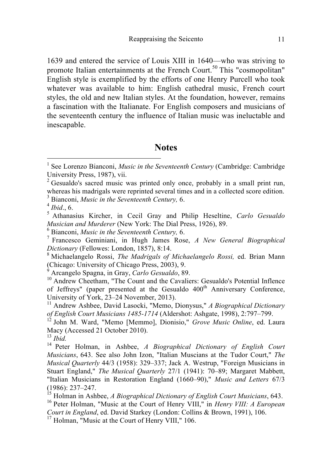1639 and entered the service of Louis XIII in 1640—who was striving to promote Italian entertainments at the French Court.<sup>50</sup> This "cosmopolitan" English style is exemplified by the efforts of one Henry Purcell who took whatever was available to him: English cathedral music, French court styles, the old and new Italian styles. At the foundation, however, remains a fascination with the Italianate. For English composers and musicians of the seventeenth century the influence of Italian music was ineluctable and inescapable.

### **Notes**

 $2^2$  Gesualdo's sacred music was printed only once, probably in a small print run, whereas his madrigals were reprinted several times and in a collected score edition.

<sup>10</sup> Andrew Cheetham, "The Count and the Cavaliers: Gesualdo's Potential Inflence of Jeffreys" (paper presented at the Gesualdo 400<sup>th</sup> Anniversary Conference, University of York, 23–24 November, 2013). 11 Andrew Ashbee, David Lasocki, "Memo, Dionysus," *A Biographical Dictionary* 

 <sup>1</sup> See Lorenzo Bianconi, *Music in the Seventeenth Century* (Cambridge: Cambridge University Press, 1987), vii.

<sup>&</sup>lt;sup>3</sup> Bianconi, *Music in the Seventeenth Century*, 6.<br>
<sup>4</sup> *Ibid.*, 6.<br>
<sup>5</sup> Athanasius Kircher, in Cecil Gray and Philip Heseltine, *Carlo Gesualdo Musician and Murderer* (New York: The Dial Press. 1926). 89.

*Musician and Murderer* (New York: The Dial Press, 1926), 89. <sup>6</sup> Bianconi, *Music in the Seventeenth Century,* 6. <sup>7</sup> Francesco Geminiani, in Hugh James Rose, *A New General Biographical Dictionary* (Fellowes: London, 1857), 8:14. <sup>8</sup> Michaelangelo Rossi, *The Madrigals of Michaelangelo Rossi,* ed. Brian Mann

<sup>(</sup>Chicago: University of Chicago Press, 2003), 9.<br><sup>9</sup> Arcangelo Spagna, in Gray, *Carlo Gesualdo*, 89.

*of English Court Musicians 1485-1714* (Aldershot: Ashgate, 1998), 2:797–799. <sup>12</sup> John M. Ward, "Memo [Memmo], Dionisio," *Grove Music Online*, ed. Laura

Macy (Accessed 21 October 2010).<br><sup>13</sup> Ihid.

<sup>&</sup>lt;sup>14</sup> Peter Holman, in Ashbee, *A Biographical Dictionary of English Court Musicians*, 643. See also John Izon, "Italian Muscians at the Tudor Court," *The Musical Quarterly* 44/3 (1958): 329–337; Jack A. Westrup, "Foreign Musicians in Stuart England," *The Musical Quarterly* 27/1 (1941): 70–89; Margaret Mabbett, "Italian Musicians in Restoration England (1660–90)," *Music and Letters* 67/3

<sup>&</sup>lt;sup>15</sup> Holman in Ashbee, *A Biographical Dictionary of English Court Musicians*, 643. <sup>16</sup> Peter Holman, "Music at the Court of Henry VIII," in *Henry VIII: A European* 

*Court in England*, ed. David Starkey (London: Collins & Brown, 1991), 106. <sup>17</sup> Holman, "Music at the Court of Henry VIII," 106.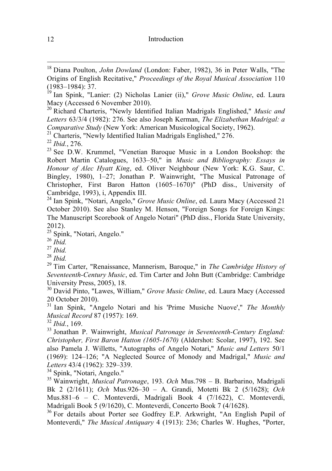<sup>20</sup> Richard Charteris, "Newly Identified Italian Madrigals Englished," *Music and Letters* 63/3/4 (1982): 276. See also Joseph Kerman, *The Elizabethan Madrigal: a*  Comparative Study (New York: American Musicological Society, 1962).<br><sup>21</sup> Charteris, "Newly Identified Italian Madrigals Englished," 276.<br><sup>22</sup> Ibid., 276.<br><sup>23</sup> See D.W. Krummel, "Venetian Baroque Music in a London Bookshop:

Robert Martin Catalogues, 1633–50," in *Music and Bibliography: Essays in Honour of Alec Hyatt King*, ed. Oliver Neighbour (New York: K.G. Saur, C. Bingley, 1980), 1–27; Jonathan P. Wainwright, "The Musical Patronage of Christopher, First Baron Hatton (1605–1670)" (PhD diss., University of

<sup>24</sup> Ian Spink, "Notari, Angelo," *Grove Music Online*, ed. Laura Macy (Accessed 21 October 2010). See also Stanley M. Henson, "Foreign Songs for Foreign Kings: The Manuscript Scorebook of Angelo Notari" (PhD diss., Florida State University, 2012).<br><sup>25</sup> Spink, "Notari, Angelo."

<sup>26</sup> *Ibid.* <sup>27</sup> *Ibid.* <sup>28</sup> *Ibid.* 28 *Ibid.* 28 *Ibid.* 28 *Ibid.* 28 *Ibid.* 28 *Ibid.* 29 Tim Carter. "Renaissance, Mannerism, Baroque," in *The Cambridge History of Seventeenth-Century Music*, ed. Tim Carter and John Butt (Cambridge: Cambridge University Press, 2005), 18.

<sup>30</sup> David Pinto, "Lawes, William," *Grove Music Online*, ed. Laura Macy (Accessed 20 October 2010).

<sup>31</sup> Ian Spink, "Angelo Notari and his 'Prime Musiche Nuove'," *The Monthly Musical Record* 87 (1957): 169.

*Musical Record* 87 (1957): 169. <sup>32</sup> *Ibid.*, 169. <sup>33</sup> Jonathan P. Wainwright, *Musical Patronage in Seventeenth-Century England: Christopher, First Baron Hatton (1605-1670)* (Aldershot: Scolar, 1997), 192. See also Pamela J. Willetts, "Autographs of Angelo Notari," *Music and Letters* 50/1 (1969): 124–126; "A Neglected Source of Monody and Madrigal," *Music and Letters* 43/4 (1962): 329–339.<br><sup>34</sup> Spink, "Notari, Angelo."<br><sup>35</sup> Wainwright, *Musical Patronage*, 193. *Och* Mus.798 – B. Barbarino, Madrigali

Bk 2 (2/1611); *Och* Mus.926–30 – A. Grandi, Motetti Bk 2 (5/1628); *Och* Mus.881–6 – C. Monteverdi, Madrigali Book 4 (7/1622), C. Monteverdi, Madrigali Book 5 (9/1620), C. Monteverdi, Concerto Book 7 (4/1628).<br><sup>36</sup> For details about Porter see Godfrey E.P. Arkwright, "An English Pupil of

Monteverdi," *The Musical Antiquary* 4 (1913): 236; Charles W. Hughes, "Porter,

 <sup>18</sup> Diana Poulton, *John Dowland* (London: Faber, 1982), 36 in Peter Walls, "The Origins of English Recitative," *Proceedings of the Royal Musical Association* 110

<sup>&</sup>lt;sup>19</sup> Ian Spink, "Lanier: (2) Nicholas Lanier (ii)," *Grove Music Online*, ed. Laura Macy (Accessed 6 November 2010).